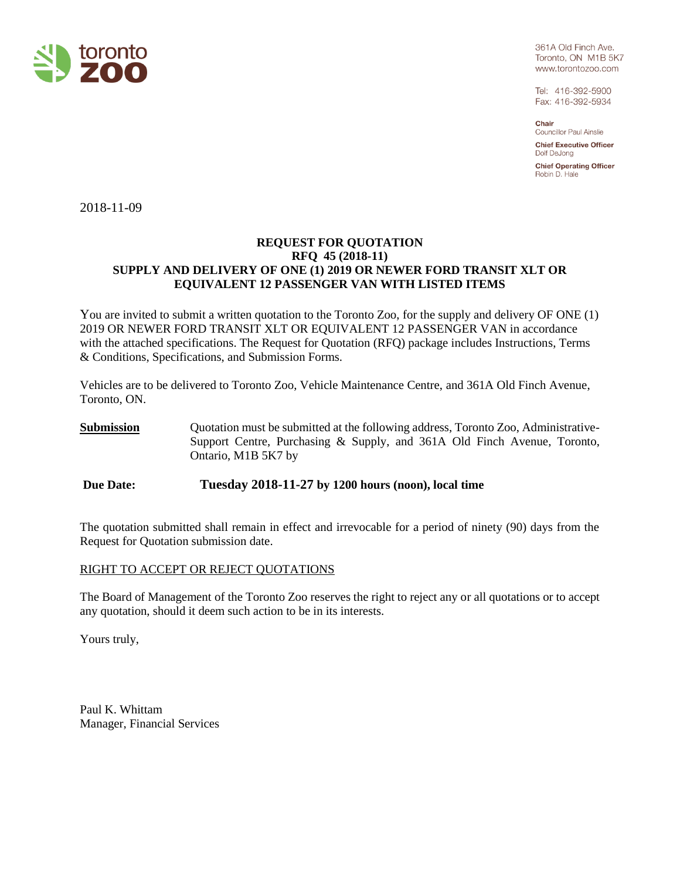

361A Old Finch Ave. Toronto, ON M1B 5K7 www.torontozoo.com

Tel: 416-392-5900 Fax: 416-392-5934

Chair **Councillor Paul Ainslie** 

**Chief Executive Officer** Dolf DeJona

**Chief Operating Officer** Robin D. Hale

2018-11-09

### **REQUEST FOR QUOTATION RFQ 45 (2018-11) SUPPLY AND DELIVERY OF ONE (1) 2019 OR NEWER FORD TRANSIT XLT OR EQUIVALENT 12 PASSENGER VAN WITH LISTED ITEMS**

You are invited to submit a written quotation to the Toronto Zoo, for the supply and delivery OF ONE (1) 2019 OR NEWER FORD TRANSIT XLT OR EQUIVALENT 12 PASSENGER VAN in accordance with the attached specifications. The Request for Quotation (RFQ) package includes Instructions, Terms & Conditions, Specifications, and Submission Forms.

Vehicles are to be delivered to Toronto Zoo, Vehicle Maintenance Centre, and 361A Old Finch Avenue, Toronto, ON.

**Submission** Quotation must be submitted at the following address, Toronto Zoo, Administrative-Support Centre, Purchasing & Supply, and 361A Old Finch Avenue, Toronto, Ontario, M1B 5K7 by

**Due Date: Tuesday 2018-11-27 by 1200 hours (noon), local time**

The quotation submitted shall remain in effect and irrevocable for a period of ninety (90) days from the Request for Quotation submission date.

### RIGHT TO ACCEPT OR REJECT QUOTATIONS

The Board of Management of the Toronto Zoo reserves the right to reject any or all quotations or to accept any quotation, should it deem such action to be in its interests.

Yours truly,

Paul K. Whittam Manager, Financial Services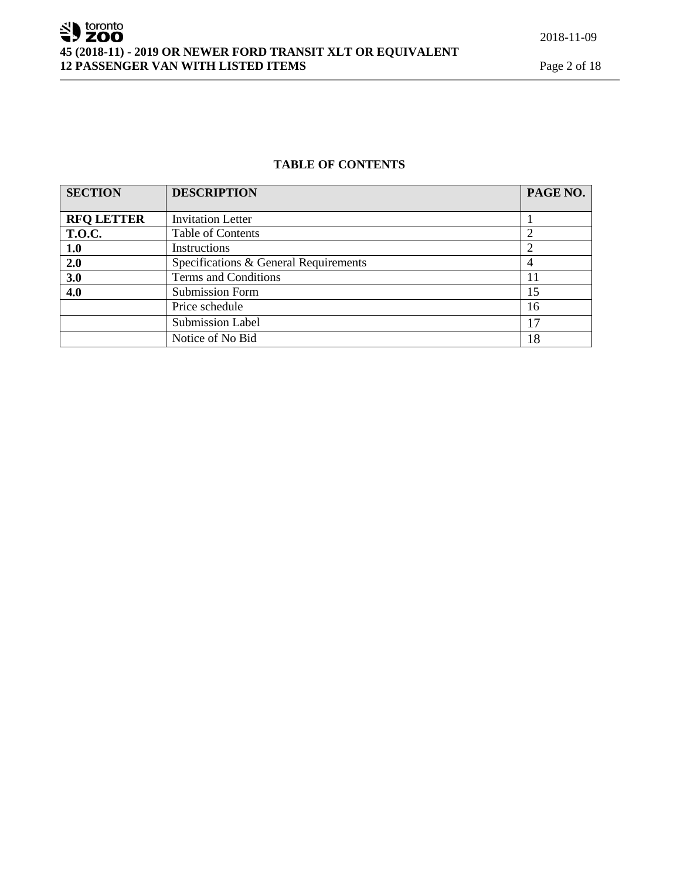# SU toronto **45 (2018-11) - 2019 OR NEWER FORD TRANSIT XLT OR EQUIVALENT 12 PASSENGER VAN WITH LISTED ITEMS** Page 2 of 18

### **TABLE OF CONTENTS**

| <b>SECTION</b>    | <b>DESCRIPTION</b>                    | PAGE NO. |
|-------------------|---------------------------------------|----------|
|                   |                                       |          |
| <b>RFQ LETTER</b> | <b>Invitation Letter</b>              |          |
| <b>T.O.C.</b>     | <b>Table of Contents</b>              |          |
| 1.0               | Instructions                          |          |
| 2.0               | Specifications & General Requirements | 4        |
| 3.0               | Terms and Conditions                  | 11       |
| 4.0               | <b>Submission Form</b>                | 15       |
|                   | Price schedule                        | 16       |
|                   | <b>Submission Label</b>               | 17       |
|                   | Notice of No Bid                      | 18       |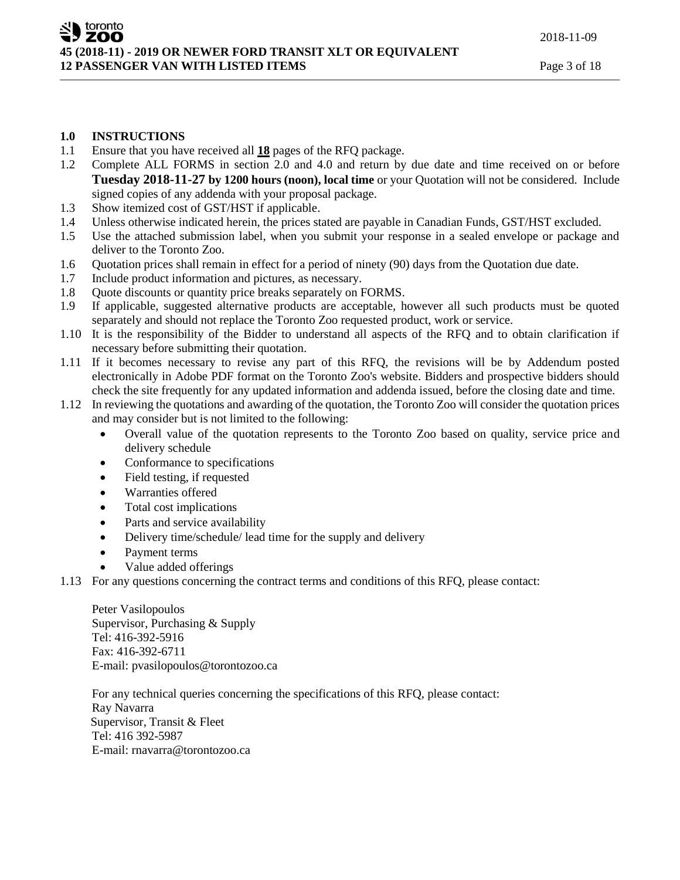## **1.0 INSTRUCTIONS**

- 1.1 Ensure that you have received all **18** pages of the RFQ package.
- 1.2 Complete ALL FORMS in section 2.0 and 4.0 and return by due date and time received on or before **Tuesday 2018-11-27 by 1200 hours (noon), local time** or your Quotation will not be considered. Include signed copies of any addenda with your proposal package.
- 1.3 Show itemized cost of GST/HST if applicable.
- 1.4 Unless otherwise indicated herein, the prices stated are payable in Canadian Funds, GST/HST excluded.
- 1.5 Use the attached submission label, when you submit your response in a sealed envelope or package and deliver to the Toronto Zoo.
- 1.6 Quotation prices shall remain in effect for a period of ninety (90) days from the Quotation due date.
- 1.7 Include product information and pictures, as necessary.
- 1.8 Quote discounts or quantity price breaks separately on FORMS.
- 1.9 If applicable, suggested alternative products are acceptable, however all such products must be quoted separately and should not replace the Toronto Zoo requested product, work or service.
- 1.10 It is the responsibility of the Bidder to understand all aspects of the RFQ and to obtain clarification if necessary before submitting their quotation.
- 1.11 If it becomes necessary to revise any part of this RFQ, the revisions will be by Addendum posted electronically in Adobe PDF format on the Toronto Zoo's website. Bidders and prospective bidders should check the site frequently for any updated information and addenda issued, before the closing date and time.
- 1.12 In reviewing the quotations and awarding of the quotation, the Toronto Zoo will consider the quotation prices and may consider but is not limited to the following:
	- Overall value of the quotation represents to the Toronto Zoo based on quality, service price and delivery schedule
	- Conformance to specifications
	- Field testing, if requested
	- Warranties offered
	- Total cost implications
	- Parts and service availability
	- Delivery time/schedule/ lead time for the supply and delivery
	- Payment terms
	- Value added offerings
- 1.13 For any questions concerning the contract terms and conditions of this RFQ, please contact:

Peter Vasilopoulos Supervisor, Purchasing & Supply Tel: 416-392-5916 Fax: 416-392-6711 E-mail: pvasilopoulos@torontozoo.ca

For any technical queries concerning the specifications of this RFQ, please contact: Ray Navarra Supervisor, Transit & Fleet Tel: 416 392-5987 E-mail: rnavarra@torontozoo.ca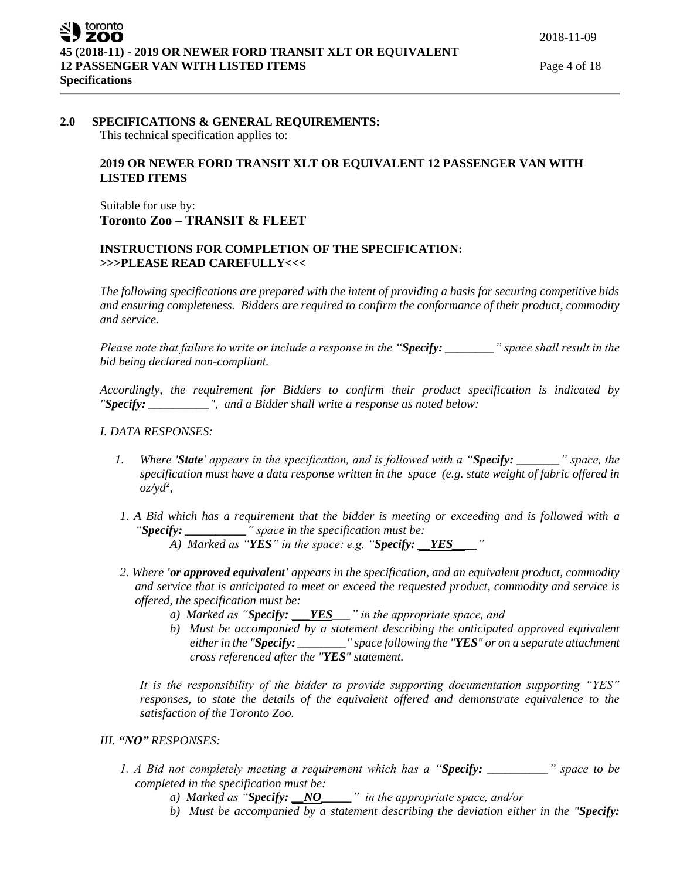#### **2.0 SPECIFICATIONS & GENERAL REQUIREMENTS:** This technical specification applies to:

### **2019 OR NEWER FORD TRANSIT XLT OR EQUIVALENT 12 PASSENGER VAN WITH LISTED ITEMS**

Suitable for use by: **Toronto Zoo – TRANSIT & FLEET**

### **INSTRUCTIONS FOR COMPLETION OF THE SPECIFICATION: >>>PLEASE READ CAREFULLY<<<**

*The following specifications are prepared with the intent of providing a basis for securing competitive bids and ensuring completeness. Bidders are required to confirm the conformance of their product, commodity and service.*

*Please note that failure to write or include a response in the "Specify: \_\_\_\_\_\_\_\_" space shall result in the bid being declared non-compliant.*

*Accordingly, the requirement for Bidders to confirm their product specification is indicated by "Specify: \_\_\_\_\_\_\_\_\_\_", and a Bidder shall write a response as noted below:* 

### *I. DATA RESPONSES:*

- *1. Where 'State' appears in the specification, and is followed with a "Specify: \_\_\_\_\_\_\_" space, the specification must have a data response written in the space (e.g. state weight of fabric offered in oz/yd<sup>2</sup> ,*
- *1. A Bid which has a requirement that the bidder is meeting or exceeding and is followed with a "Specify: \_\_\_\_\_\_\_\_\_\_" space in the specification must be:*
	- *A)* Marked as "*YES*" in the space: e.g. "*Specify: YES*
- *2. Where 'or approved equivalent' appears in the specification, and an equivalent product, commodity and service that is anticipated to meet or exceed the requested product, commodity and service is offered, the specification must be:*
	- *a) Marked as "Specify: \_\_\_YES\_\_\_" in the appropriate space, and*
	- *b) Must be accompanied by a statement describing the anticipated approved equivalent either in the "Specify: \_\_\_\_\_\_\_\_" space following the "YES" or on a separate attachment cross referenced after the "YES" statement.*

*It is the responsibility of the bidder to provide supporting documentation supporting "YES" responses, to state the details of the equivalent offered and demonstrate equivalence to the satisfaction of the Toronto Zoo.* 

#### *III. "NO" RESPONSES:*

- *1. A Bid not completely meeting a requirement which has a "Specify: \_\_\_\_\_\_\_\_\_\_" space to be completed in the specification must be:*
	- *a) Marked as "Specify: \_\_NO\_\_\_\_\_" in the appropriate space, and/or*
	- *b) Must be accompanied by a statement describing the deviation either in the "Specify:*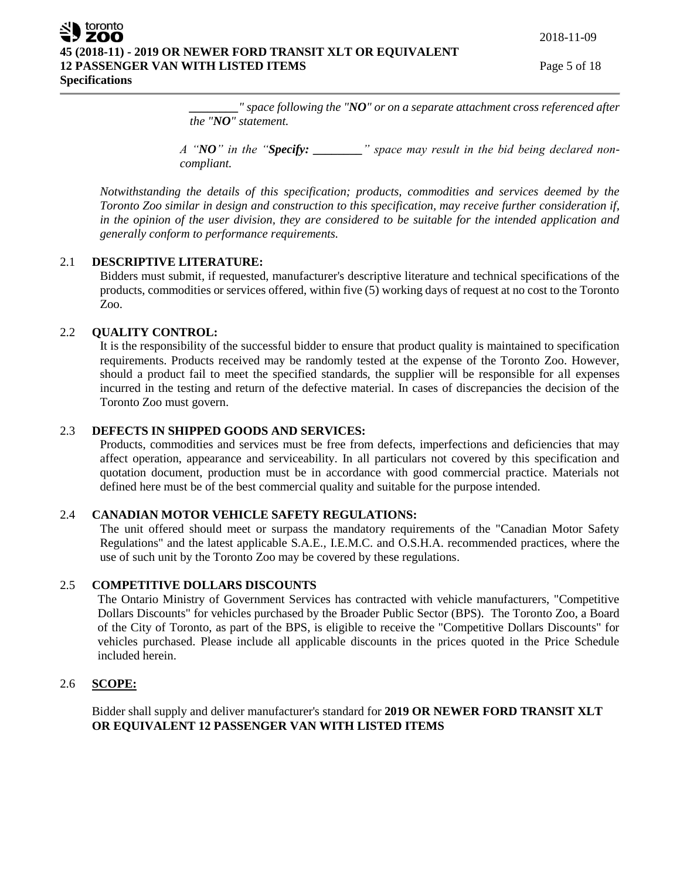*\_\_\_\_\_\_\_\_" space following the "NO" or on a separate attachment cross referenced after the "NO" statement.* 

*A "NO" in the "Specify: \_\_\_\_\_\_\_\_" space may result in the bid being declared noncompliant.* 

*Notwithstanding the details of this specification; products, commodities and services deemed by the Toronto Zoo similar in design and construction to this specification, may receive further consideration if, in the opinion of the user division, they are considered to be suitable for the intended application and generally conform to performance requirements.*

### 2.1 **DESCRIPTIVE LITERATURE:**

Bidders must submit, if requested, manufacturer's descriptive literature and technical specifications of the products, commodities or services offered, within five (5) working days of request at no cost to the Toronto Zoo.

## 2.2 **QUALITY CONTROL:**

It is the responsibility of the successful bidder to ensure that product quality is maintained to specification requirements. Products received may be randomly tested at the expense of the Toronto Zoo. However, should a product fail to meet the specified standards, the supplier will be responsible for all expenses incurred in the testing and return of the defective material. In cases of discrepancies the decision of the Toronto Zoo must govern.

## 2.3 **DEFECTS IN SHIPPED GOODS AND SERVICES:**

Products, commodities and services must be free from defects, imperfections and deficiencies that may affect operation, appearance and serviceability. In all particulars not covered by this specification and quotation document, production must be in accordance with good commercial practice. Materials not defined here must be of the best commercial quality and suitable for the purpose intended.

### 2.4 **CANADIAN MOTOR VEHICLE SAFETY REGULATIONS:**

The unit offered should meet or surpass the mandatory requirements of the "Canadian Motor Safety Regulations" and the latest applicable S.A.E., I.E.M.C. and O.S.H.A. recommended practices, where the use of such unit by the Toronto Zoo may be covered by these regulations.

### 2.5 **COMPETITIVE DOLLARS DISCOUNTS**

The Ontario Ministry of Government Services has contracted with vehicle manufacturers, "Competitive Dollars Discounts" for vehicles purchased by the Broader Public Sector (BPS). The Toronto Zoo, a Board of the City of Toronto, as part of the BPS, is eligible to receive the "Competitive Dollars Discounts" for vehicles purchased. Please include all applicable discounts in the prices quoted in the Price Schedule included herein.

## 2.6 **SCOPE:**

Bidder shall supply and deliver manufacturer's standard for **2019 OR NEWER FORD TRANSIT XLT OR EQUIVALENT 12 PASSENGER VAN WITH LISTED ITEMS**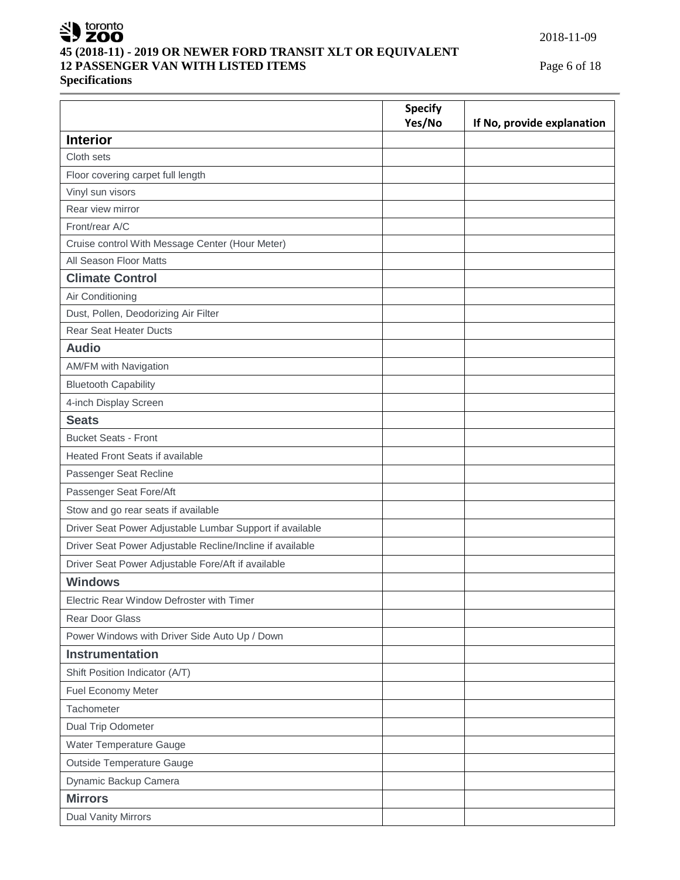

## **45 (2018-11) - 2019 OR NEWER FORD TRANSIT XLT OR EQUIVALENT 12 PASSENGER VAN WITH LISTED ITEMS** Page 6 of 18

**Specifications**

2018-11-09

|                                                           | <b>Specify</b><br>Yes/No | If No, provide explanation |
|-----------------------------------------------------------|--------------------------|----------------------------|
| <b>Interior</b>                                           |                          |                            |
| Cloth sets                                                |                          |                            |
| Floor covering carpet full length                         |                          |                            |
| Vinyl sun visors                                          |                          |                            |
| Rear view mirror                                          |                          |                            |
| Front/rear A/C                                            |                          |                            |
| Cruise control With Message Center (Hour Meter)           |                          |                            |
| All Season Floor Matts                                    |                          |                            |
| <b>Climate Control</b>                                    |                          |                            |
| Air Conditioning                                          |                          |                            |
| Dust, Pollen, Deodorizing Air Filter                      |                          |                            |
| <b>Rear Seat Heater Ducts</b>                             |                          |                            |
| <b>Audio</b>                                              |                          |                            |
| AM/FM with Navigation                                     |                          |                            |
| <b>Bluetooth Capability</b>                               |                          |                            |
| 4-inch Display Screen                                     |                          |                            |
| <b>Seats</b>                                              |                          |                            |
| <b>Bucket Seats - Front</b>                               |                          |                            |
| <b>Heated Front Seats if available</b>                    |                          |                            |
| Passenger Seat Recline                                    |                          |                            |
| Passenger Seat Fore/Aft                                   |                          |                            |
| Stow and go rear seats if available                       |                          |                            |
| Driver Seat Power Adjustable Lumbar Support if available  |                          |                            |
| Driver Seat Power Adjustable Recline/Incline if available |                          |                            |
| Driver Seat Power Adjustable Fore/Aft if available        |                          |                            |
| <b>Windows</b>                                            |                          |                            |
| Electric Rear Window Defroster with Timer                 |                          |                            |
| Rear Door Glass                                           |                          |                            |
| Power Windows with Driver Side Auto Up / Down             |                          |                            |
| <b>Instrumentation</b>                                    |                          |                            |
| Shift Position Indicator (A/T)                            |                          |                            |
| Fuel Economy Meter                                        |                          |                            |
| Tachometer                                                |                          |                            |
| Dual Trip Odometer                                        |                          |                            |
| Water Temperature Gauge                                   |                          |                            |
| Outside Temperature Gauge                                 |                          |                            |
| Dynamic Backup Camera                                     |                          |                            |
| <b>Mirrors</b>                                            |                          |                            |
| <b>Dual Vanity Mirrors</b>                                |                          |                            |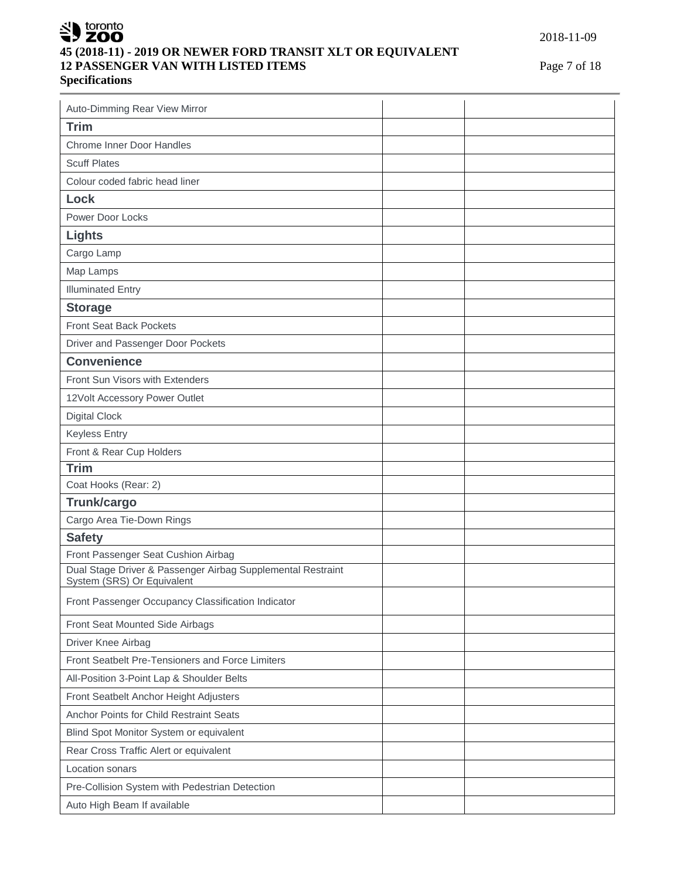# SU toronto **45 (2018-11) - 2019 OR NEWER FORD TRANSIT XLT OR EQUIVALENT 12 PASSENGER VAN WITH LISTED ITEMS** Page 7 of 18 **Specifications**

| Auto-Dimming Rear View Mirror                                                             |  |  |  |
|-------------------------------------------------------------------------------------------|--|--|--|
| <b>Trim</b>                                                                               |  |  |  |
| <b>Chrome Inner Door Handles</b>                                                          |  |  |  |
| <b>Scuff Plates</b>                                                                       |  |  |  |
| Colour coded fabric head liner                                                            |  |  |  |
| <b>Lock</b>                                                                               |  |  |  |
| Power Door Locks                                                                          |  |  |  |
| <b>Lights</b>                                                                             |  |  |  |
| Cargo Lamp                                                                                |  |  |  |
| Map Lamps                                                                                 |  |  |  |
| <b>Illuminated Entry</b>                                                                  |  |  |  |
| <b>Storage</b>                                                                            |  |  |  |
| Front Seat Back Pockets                                                                   |  |  |  |
| Driver and Passenger Door Pockets                                                         |  |  |  |
| <b>Convenience</b>                                                                        |  |  |  |
| Front Sun Visors with Extenders                                                           |  |  |  |
| 12Volt Accessory Power Outlet                                                             |  |  |  |
| <b>Digital Clock</b>                                                                      |  |  |  |
| <b>Keyless Entry</b>                                                                      |  |  |  |
| Front & Rear Cup Holders                                                                  |  |  |  |
| <b>Trim</b>                                                                               |  |  |  |
| Coat Hooks (Rear: 2)                                                                      |  |  |  |
| Trunk/cargo                                                                               |  |  |  |
| Cargo Area Tie-Down Rings                                                                 |  |  |  |
| <b>Safety</b>                                                                             |  |  |  |
| Front Passenger Seat Cushion Airbag                                                       |  |  |  |
| Dual Stage Driver & Passenger Airbag Supplemental Restraint<br>System (SRS) Or Equivalent |  |  |  |
| Front Passenger Occupancy Classification Indicator                                        |  |  |  |
| Front Seat Mounted Side Airbags                                                           |  |  |  |
| Driver Knee Airbag                                                                        |  |  |  |
| Front Seatbelt Pre-Tensioners and Force Limiters                                          |  |  |  |
| All-Position 3-Point Lap & Shoulder Belts                                                 |  |  |  |
| Front Seatbelt Anchor Height Adjusters                                                    |  |  |  |
| Anchor Points for Child Restraint Seats                                                   |  |  |  |
| Blind Spot Monitor System or equivalent                                                   |  |  |  |
| Rear Cross Traffic Alert or equivalent                                                    |  |  |  |
| Location sonars                                                                           |  |  |  |
| Pre-Collision System with Pedestrian Detection                                            |  |  |  |
| Auto High Beam If available                                                               |  |  |  |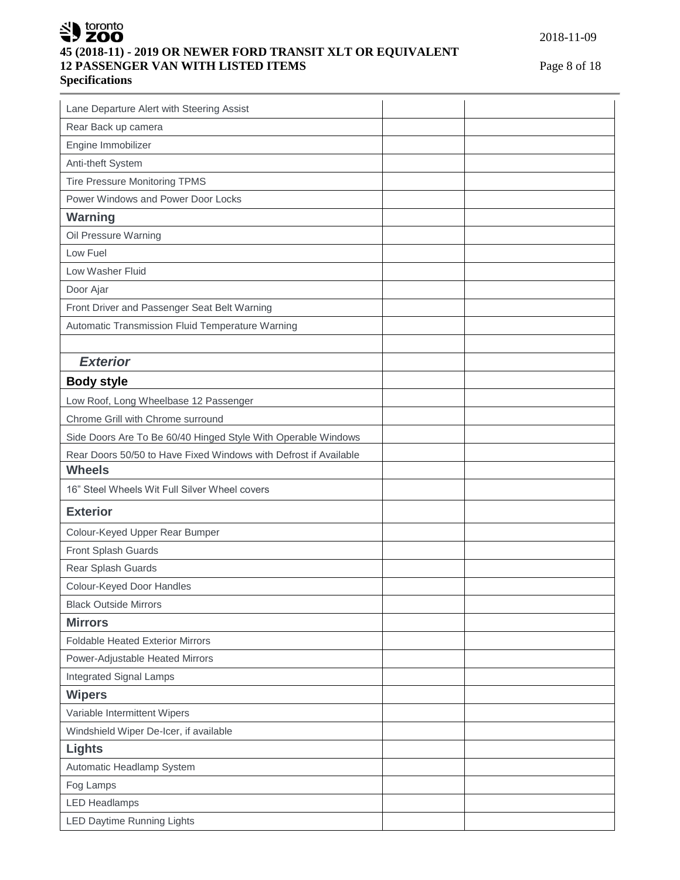# SU toronto **45 (2018-11) - 2019 OR NEWER FORD TRANSIT XLT OR EQUIVALENT 12 PASSENGER VAN WITH LISTED ITEMS** Page 8 of 18 **Specifications**

| Lane Departure Alert with Steering Assist                        |  |
|------------------------------------------------------------------|--|
| Rear Back up camera                                              |  |
| Engine Immobilizer                                               |  |
| Anti-theft System                                                |  |
| Tire Pressure Monitoring TPMS                                    |  |
| Power Windows and Power Door Locks                               |  |
| <b>Warning</b>                                                   |  |
| Oil Pressure Warning                                             |  |
| Low Fuel                                                         |  |
| Low Washer Fluid                                                 |  |
| Door Ajar                                                        |  |
| Front Driver and Passenger Seat Belt Warning                     |  |
| Automatic Transmission Fluid Temperature Warning                 |  |
|                                                                  |  |
| <b>Exterior</b>                                                  |  |
| <b>Body style</b>                                                |  |
| Low Roof, Long Wheelbase 12 Passenger                            |  |
| Chrome Grill with Chrome surround                                |  |
| Side Doors Are To Be 60/40 Hinged Style With Operable Windows    |  |
| Rear Doors 50/50 to Have Fixed Windows with Defrost if Available |  |
| <b>Wheels</b>                                                    |  |
| 16" Steel Wheels Wit Full Silver Wheel covers                    |  |
| <b>Exterior</b>                                                  |  |
| Colour-Keyed Upper Rear Bumper                                   |  |
| Front Splash Guards                                              |  |
| Rear Splash Guards                                               |  |
| Colour-Keyed Door Handles                                        |  |
| <b>Black Outside Mirrors</b>                                     |  |
| <b>Mirrors</b>                                                   |  |
| <b>Foldable Heated Exterior Mirrors</b>                          |  |
| Power-Adjustable Heated Mirrors                                  |  |
| <b>Integrated Signal Lamps</b>                                   |  |
| <b>Wipers</b>                                                    |  |
| Variable Intermittent Wipers                                     |  |
| Windshield Wiper De-Icer, if available                           |  |
| Lights                                                           |  |
| Automatic Headlamp System                                        |  |
| Fog Lamps                                                        |  |
|                                                                  |  |
| <b>LED Headlamps</b><br><b>LED Daytime Running Lights</b>        |  |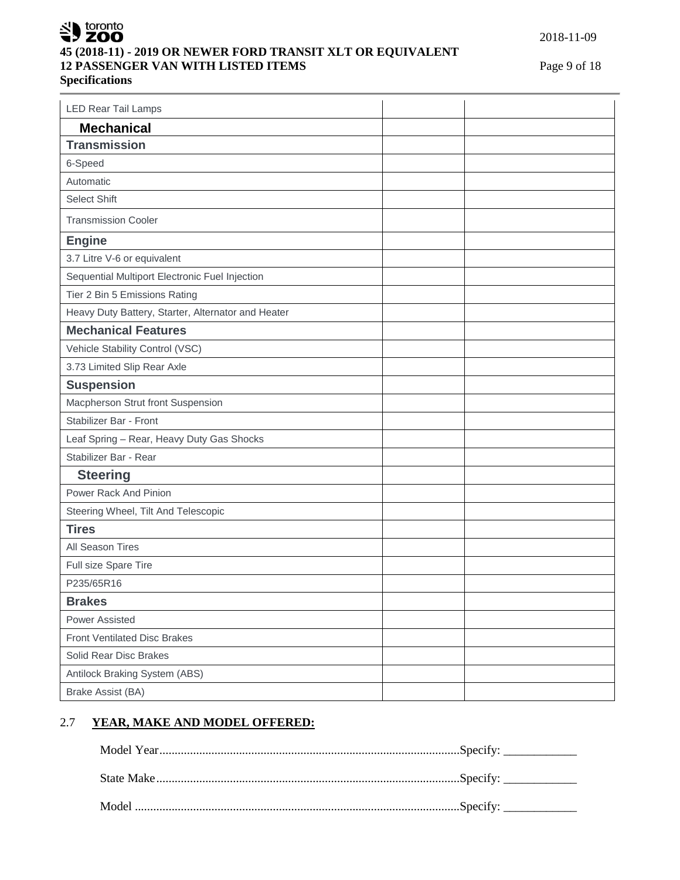# SU toronto **45 (2018-11) - 2019 OR NEWER FORD TRANSIT XLT OR EQUIVALENT 12 PASSENGER VAN WITH LISTED ITEMS** Page 9 of 18 **Specifications**

| <b>LED Rear Tail Lamps</b>                         |  |
|----------------------------------------------------|--|
| <b>Mechanical</b>                                  |  |
| <b>Transmission</b>                                |  |
| 6-Speed                                            |  |
| Automatic                                          |  |
| Select Shift                                       |  |
| <b>Transmission Cooler</b>                         |  |
| <b>Engine</b>                                      |  |
| 3.7 Litre V-6 or equivalent                        |  |
| Sequential Multiport Electronic Fuel Injection     |  |
| Tier 2 Bin 5 Emissions Rating                      |  |
| Heavy Duty Battery, Starter, Alternator and Heater |  |
| <b>Mechanical Features</b>                         |  |
| Vehicle Stability Control (VSC)                    |  |
| 3.73 Limited Slip Rear Axle                        |  |
| <b>Suspension</b>                                  |  |
| Macpherson Strut front Suspension                  |  |
| Stabilizer Bar - Front                             |  |
| Leaf Spring - Rear, Heavy Duty Gas Shocks          |  |
| Stabilizer Bar - Rear                              |  |
| <b>Steering</b>                                    |  |
| Power Rack And Pinion                              |  |
| Steering Wheel, Tilt And Telescopic                |  |
| <b>Tires</b>                                       |  |
| All Season Tires                                   |  |
| Full size Spare Tire                               |  |
| P235/65R16                                         |  |
| <b>Brakes</b>                                      |  |
| Power Assisted                                     |  |
| <b>Front Ventilated Disc Brakes</b>                |  |
| Solid Rear Disc Brakes                             |  |
| Antilock Braking System (ABS)                      |  |
| Brake Assist (BA)                                  |  |

## 2.7 **YEAR, MAKE AND MODEL OFFERED:**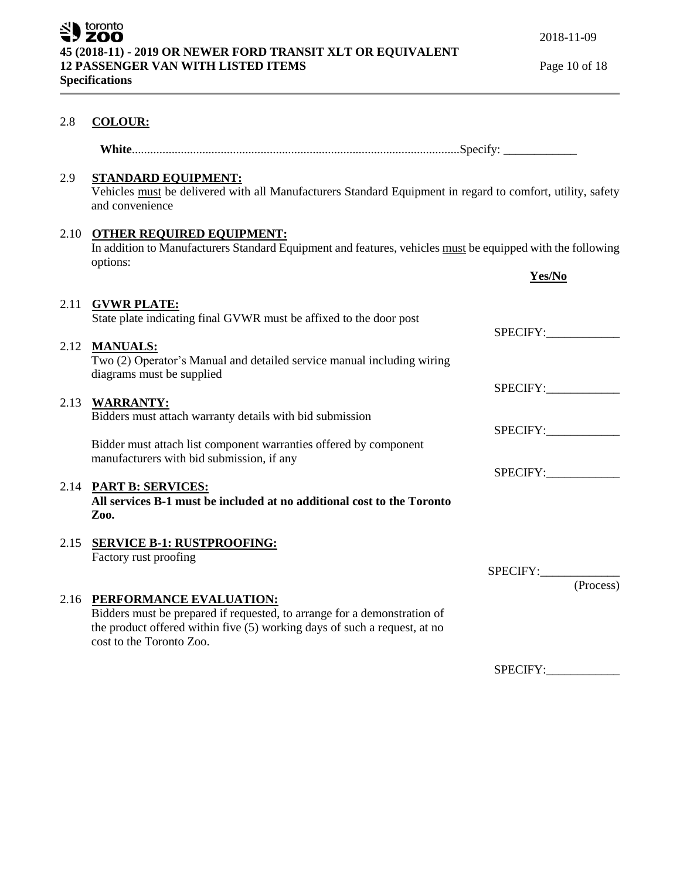## 2.8 **COLOUR:**

| Whi |  |  |  |
|-----|--|--|--|
|-----|--|--|--|

## 2.9 **STANDARD EQUIPMENT:**

Vehicles must be delivered with all Manufacturers Standard Equipment in regard to comfort, utility, safety and convenience

# 2.10 **OTHER REQUIRED EQUIPMENT:**

In addition to Manufacturers Standard Equipment and features, vehicles must be equipped with the following options:

|      |                                                                                                                                                                                   | Yes/No                |
|------|-----------------------------------------------------------------------------------------------------------------------------------------------------------------------------------|-----------------------|
| 2.11 | <b>GVWR PLATE:</b><br>State plate indicating final GVWR must be affixed to the door post                                                                                          | SPECIFY:              |
|      | 2.12 MANUALS:<br>Two (2) Operator's Manual and detailed service manual including wiring<br>diagrams must be supplied                                                              |                       |
|      | 2.13 WARRANTY:<br>Bidders must attach warranty details with bid submission                                                                                                        | SPECIFY:              |
|      | Bidder must attach list component warranties offered by component                                                                                                                 | SPECIFY:              |
|      | manufacturers with bid submission, if any<br>2.14 PART B: SERVICES:                                                                                                               | SPECIFY:              |
|      | All services B-1 must be included at no additional cost to the Toronto<br>Zoo.                                                                                                    |                       |
|      | 2.15 SERVICE B-1: RUSTPROOFING:<br>Factory rust proofing                                                                                                                          |                       |
| 2.16 | PERFORMANCE EVALUATION:                                                                                                                                                           | SPECIFY:<br>(Process) |
|      | Bidders must be prepared if requested, to arrange for a demonstration of<br>the product offered within five (5) working days of such a request, at no<br>cost to the Toronto Zoo. |                       |

SPECIFY: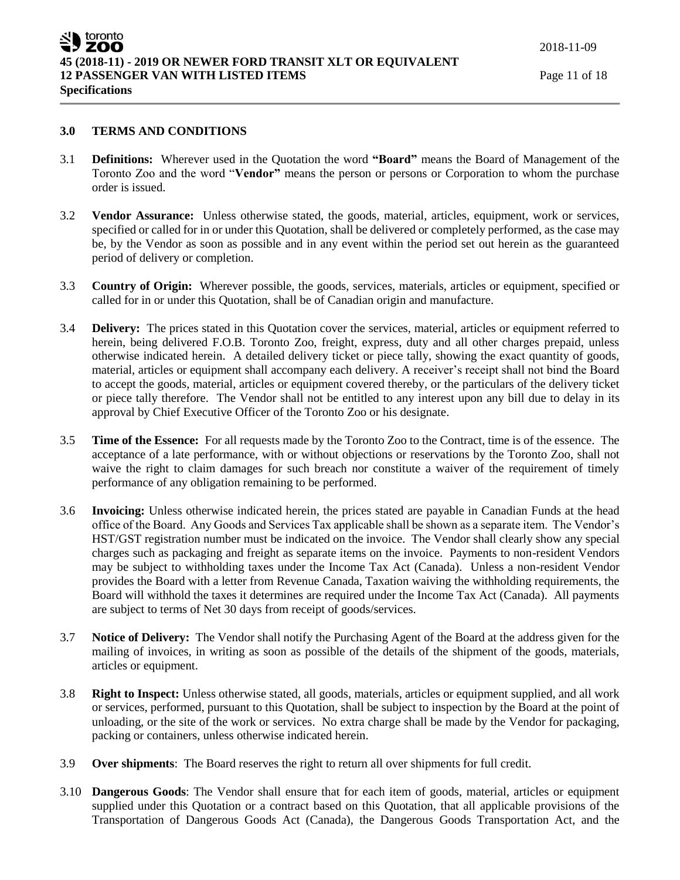#### **3.0 TERMS AND CONDITIONS**

- 3.1 **Definitions:** Wherever used in the Quotation the word **"Board"** means the Board of Management of the Toronto Zoo and the word "**Vendor"** means the person or persons or Corporation to whom the purchase order is issued.
- 3.2 **Vendor Assurance:** Unless otherwise stated, the goods, material, articles, equipment, work or services, specified or called for in or under this Quotation, shall be delivered or completely performed, as the case may be, by the Vendor as soon as possible and in any event within the period set out herein as the guaranteed period of delivery or completion.
- 3.3 **Country of Origin:** Wherever possible, the goods, services, materials, articles or equipment, specified or called for in or under this Quotation, shall be of Canadian origin and manufacture.
- 3.4 **Delivery:** The prices stated in this Quotation cover the services, material, articles or equipment referred to herein, being delivered F.O.B. Toronto Zoo, freight, express, duty and all other charges prepaid, unless otherwise indicated herein. A detailed delivery ticket or piece tally, showing the exact quantity of goods, material, articles or equipment shall accompany each delivery. A receiver's receipt shall not bind the Board to accept the goods, material, articles or equipment covered thereby, or the particulars of the delivery ticket or piece tally therefore. The Vendor shall not be entitled to any interest upon any bill due to delay in its approval by Chief Executive Officer of the Toronto Zoo or his designate.
- 3.5 **Time of the Essence:** For all requests made by the Toronto Zoo to the Contract, time is of the essence. The acceptance of a late performance, with or without objections or reservations by the Toronto Zoo, shall not waive the right to claim damages for such breach nor constitute a waiver of the requirement of timely performance of any obligation remaining to be performed.
- 3.6 **Invoicing:** Unless otherwise indicated herein, the prices stated are payable in Canadian Funds at the head office of the Board. Any Goods and Services Tax applicable shall be shown as a separate item. The Vendor's HST/GST registration number must be indicated on the invoice. The Vendor shall clearly show any special charges such as packaging and freight as separate items on the invoice. Payments to non-resident Vendors may be subject to withholding taxes under the Income Tax Act (Canada). Unless a non-resident Vendor provides the Board with a letter from Revenue Canada, Taxation waiving the withholding requirements, the Board will withhold the taxes it determines are required under the Income Tax Act (Canada). All payments are subject to terms of Net 30 days from receipt of goods/services.
- 3.7 **Notice of Delivery:** The Vendor shall notify the Purchasing Agent of the Board at the address given for the mailing of invoices, in writing as soon as possible of the details of the shipment of the goods, materials, articles or equipment.
- 3.8 **Right to Inspect:** Unless otherwise stated, all goods, materials, articles or equipment supplied, and all work or services, performed, pursuant to this Quotation, shall be subject to inspection by the Board at the point of unloading, or the site of the work or services. No extra charge shall be made by the Vendor for packaging, packing or containers, unless otherwise indicated herein.
- 3.9 **Over shipments**: The Board reserves the right to return all over shipments for full credit.
- 3.10 **Dangerous Goods**: The Vendor shall ensure that for each item of goods, material, articles or equipment supplied under this Quotation or a contract based on this Quotation, that all applicable provisions of the Transportation of Dangerous Goods Act (Canada), the Dangerous Goods Transportation Act, and the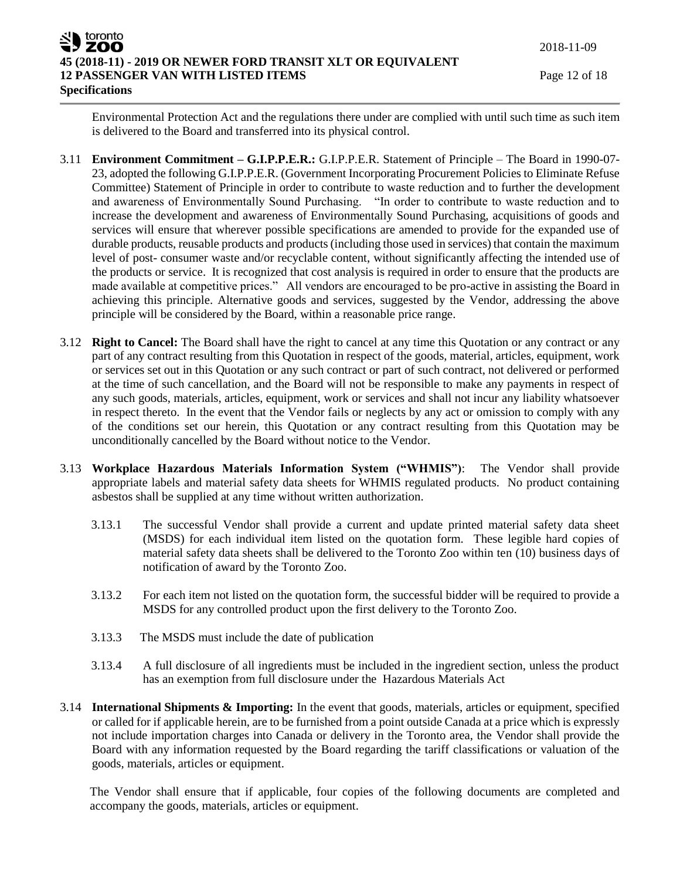Environmental Protection Act and the regulations there under are complied with until such time as such item is delivered to the Board and transferred into its physical control.

- 3.11 **Environment Commitment – G.I.P.P.E.R.:** G.I.P.P.E.R. Statement of Principle The Board in 1990-07- 23, adopted the following G.I.P.P.E.R. (Government Incorporating Procurement Policies to Eliminate Refuse Committee) Statement of Principle in order to contribute to waste reduction and to further the development and awareness of Environmentally Sound Purchasing. "In order to contribute to waste reduction and to increase the development and awareness of Environmentally Sound Purchasing, acquisitions of goods and services will ensure that wherever possible specifications are amended to provide for the expanded use of durable products, reusable products and products (including those used in services) that contain the maximum level of post- consumer waste and/or recyclable content, without significantly affecting the intended use of the products or service. It is recognized that cost analysis is required in order to ensure that the products are made available at competitive prices." All vendors are encouraged to be pro-active in assisting the Board in achieving this principle. Alternative goods and services, suggested by the Vendor, addressing the above principle will be considered by the Board, within a reasonable price range.
- 3.12 **Right to Cancel:** The Board shall have the right to cancel at any time this Quotation or any contract or any part of any contract resulting from this Quotation in respect of the goods, material, articles, equipment, work or services set out in this Quotation or any such contract or part of such contract, not delivered or performed at the time of such cancellation, and the Board will not be responsible to make any payments in respect of any such goods, materials, articles, equipment, work or services and shall not incur any liability whatsoever in respect thereto. In the event that the Vendor fails or neglects by any act or omission to comply with any of the conditions set our herein, this Quotation or any contract resulting from this Quotation may be unconditionally cancelled by the Board without notice to the Vendor.
- 3.13 **Workplace Hazardous Materials Information System ("WHMIS")**: The Vendor shall provide appropriate labels and material safety data sheets for WHMIS regulated products. No product containing asbestos shall be supplied at any time without written authorization.
	- 3.13.1 The successful Vendor shall provide a current and update printed material safety data sheet (MSDS) for each individual item listed on the quotation form. These legible hard copies of material safety data sheets shall be delivered to the Toronto Zoo within ten (10) business days of notification of award by the Toronto Zoo.
	- 3.13.2 For each item not listed on the quotation form, the successful bidder will be required to provide a MSDS for any controlled product upon the first delivery to the Toronto Zoo.
	- 3.13.3 The MSDS must include the date of publication
	- 3.13.4 A full disclosure of all ingredients must be included in the ingredient section, unless the product has an exemption from full disclosure under the Hazardous Materials Act
- 3.14 **International Shipments & Importing:** In the event that goods, materials, articles or equipment, specified or called for if applicable herein, are to be furnished from a point outside Canada at a price which is expressly not include importation charges into Canada or delivery in the Toronto area, the Vendor shall provide the Board with any information requested by the Board regarding the tariff classifications or valuation of the goods, materials, articles or equipment.

The Vendor shall ensure that if applicable, four copies of the following documents are completed and accompany the goods, materials, articles or equipment.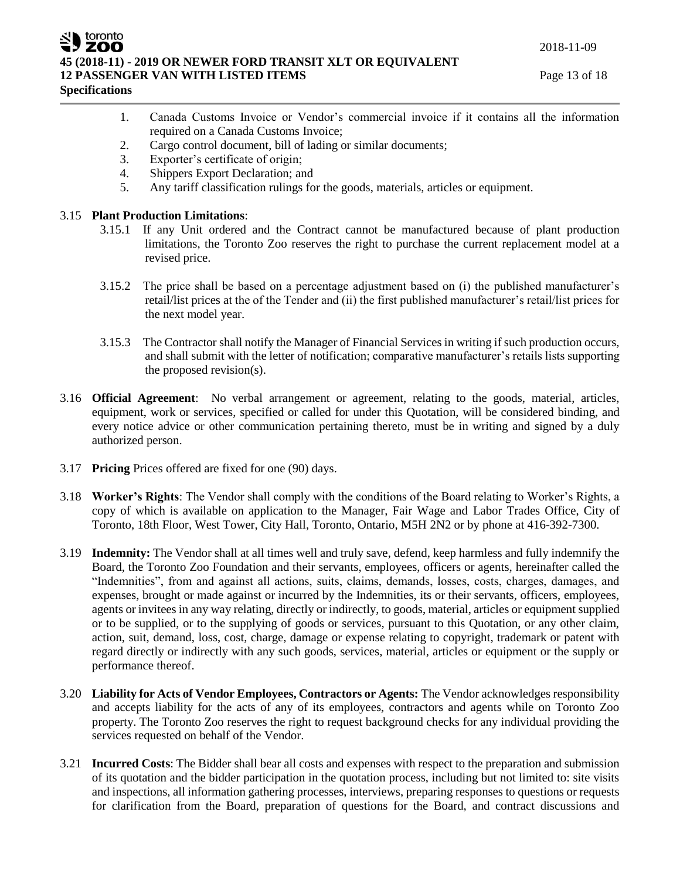

**Specifications**

- 1. Canada Customs Invoice or Vendor's commercial invoice if it contains all the information required on a Canada Customs Invoice;
- 2. Cargo control document, bill of lading or similar documents;
- 3. Exporter's certificate of origin;
- 4. Shippers Export Declaration; and
- 5. Any tariff classification rulings for the goods, materials, articles or equipment.

### 3.15 **Plant Production Limitations**:

- 3.15.1 If any Unit ordered and the Contract cannot be manufactured because of plant production limitations, the Toronto Zoo reserves the right to purchase the current replacement model at a revised price.
- 3.15.2 The price shall be based on a percentage adjustment based on (i) the published manufacturer's retail/list prices at the of the Tender and (ii) the first published manufacturer's retail/list prices for the next model year.
- 3.15.3 The Contractor shall notify the Manager of Financial Services in writing if such production occurs, and shall submit with the letter of notification; comparative manufacturer's retails lists supporting the proposed revision(s).
- 3.16 **Official Agreement**: No verbal arrangement or agreement, relating to the goods, material, articles, equipment, work or services, specified or called for under this Quotation, will be considered binding, and every notice advice or other communication pertaining thereto, must be in writing and signed by a duly authorized person.
- 3.17 **Pricing** Prices offered are fixed for one (90) days.
- 3.18 **Worker's Rights**: The Vendor shall comply with the conditions of the Board relating to Worker's Rights, a copy of which is available on application to the Manager, Fair Wage and Labor Trades Office, City of Toronto, 18th Floor, West Tower, City Hall, Toronto, Ontario, M5H 2N2 or by phone at 416-392-7300.
- 3.19 **Indemnity:** The Vendor shall at all times well and truly save, defend, keep harmless and fully indemnify the Board, the Toronto Zoo Foundation and their servants, employees, officers or agents, hereinafter called the "Indemnities", from and against all actions, suits, claims, demands, losses, costs, charges, damages, and expenses, brought or made against or incurred by the Indemnities, its or their servants, officers, employees, agents or invitees in any way relating, directly or indirectly, to goods, material, articles or equipment supplied or to be supplied, or to the supplying of goods or services, pursuant to this Quotation, or any other claim, action, suit, demand, loss, cost, charge, damage or expense relating to copyright, trademark or patent with regard directly or indirectly with any such goods, services, material, articles or equipment or the supply or performance thereof.
- 3.20 **Liability for Acts of Vendor Employees, Contractors or Agents:** The Vendor acknowledges responsibility and accepts liability for the acts of any of its employees, contractors and agents while on Toronto Zoo property. The Toronto Zoo reserves the right to request background checks for any individual providing the services requested on behalf of the Vendor.
- 3.21 **Incurred Costs**: The Bidder shall bear all costs and expenses with respect to the preparation and submission of its quotation and the bidder participation in the quotation process, including but not limited to: site visits and inspections, all information gathering processes, interviews, preparing responses to questions or requests for clarification from the Board, preparation of questions for the Board, and contract discussions and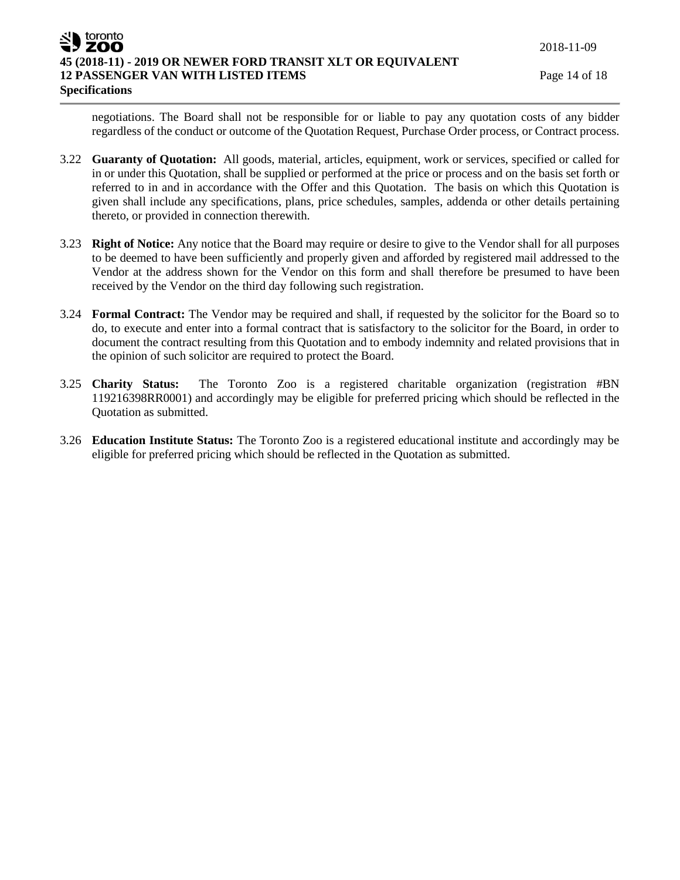negotiations. The Board shall not be responsible for or liable to pay any quotation costs of any bidder regardless of the conduct or outcome of the Quotation Request, Purchase Order process, or Contract process.

- 3.22 **Guaranty of Quotation:** All goods, material, articles, equipment, work or services, specified or called for in or under this Quotation, shall be supplied or performed at the price or process and on the basis set forth or referred to in and in accordance with the Offer and this Quotation. The basis on which this Quotation is given shall include any specifications, plans, price schedules, samples, addenda or other details pertaining thereto, or provided in connection therewith.
- 3.23 **Right of Notice:** Any notice that the Board may require or desire to give to the Vendor shall for all purposes to be deemed to have been sufficiently and properly given and afforded by registered mail addressed to the Vendor at the address shown for the Vendor on this form and shall therefore be presumed to have been received by the Vendor on the third day following such registration.
- 3.24 **Formal Contract:** The Vendor may be required and shall, if requested by the solicitor for the Board so to do, to execute and enter into a formal contract that is satisfactory to the solicitor for the Board, in order to document the contract resulting from this Quotation and to embody indemnity and related provisions that in the opinion of such solicitor are required to protect the Board.
- 3.25 **Charity Status:** The Toronto Zoo is a registered charitable organization (registration #BN 119216398RR0001) and accordingly may be eligible for preferred pricing which should be reflected in the Quotation as submitted.
- 3.26 **Education Institute Status:** The Toronto Zoo is a registered educational institute and accordingly may be eligible for preferred pricing which should be reflected in the Quotation as submitted.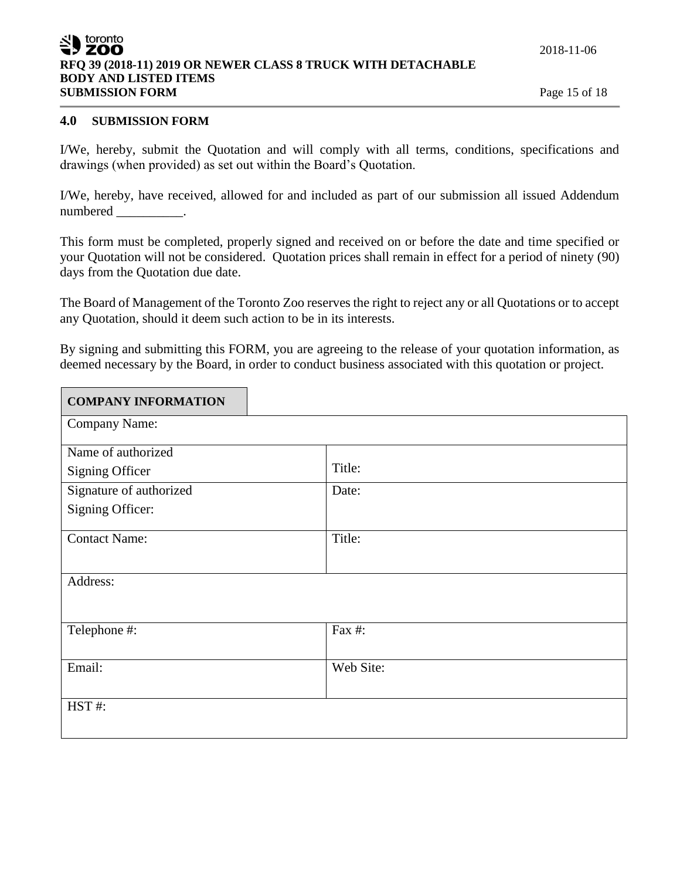### toronto ZOO **RFQ 39 (2018-11) 2019 OR NEWER CLASS 8 TRUCK WITH DETACHABLE BODY AND LISTED ITEMS SUBMISSION FORM** Page 15 of 18

#### **4.0 SUBMISSION FORM**

I/We, hereby, submit the Quotation and will comply with all terms, conditions, specifications and drawings (when provided) as set out within the Board's Quotation.

I/We, hereby, have received, allowed for and included as part of our submission all issued Addendum numbered \_\_\_\_\_\_\_\_\_\_\_.

This form must be completed, properly signed and received on or before the date and time specified or your Quotation will not be considered. Quotation prices shall remain in effect for a period of ninety (90) days from the Quotation due date.

The Board of Management of the Toronto Zoo reserves the right to reject any or all Quotations or to accept any Quotation, should it deem such action to be in its interests.

By signing and submitting this FORM, you are agreeing to the release of your quotation information, as deemed necessary by the Board, in order to conduct business associated with this quotation or project.

| <b>COMPANY INFORMATION</b> |           |
|----------------------------|-----------|
| Company Name:              |           |
| Name of authorized         |           |
| <b>Signing Officer</b>     | Title:    |
| Signature of authorized    | Date:     |
| Signing Officer:           |           |
| <b>Contact Name:</b>       | Title:    |
| Address:                   |           |
| Telephone #:               | Fax #:    |
| Email:                     | Web Site: |
| HST#:                      |           |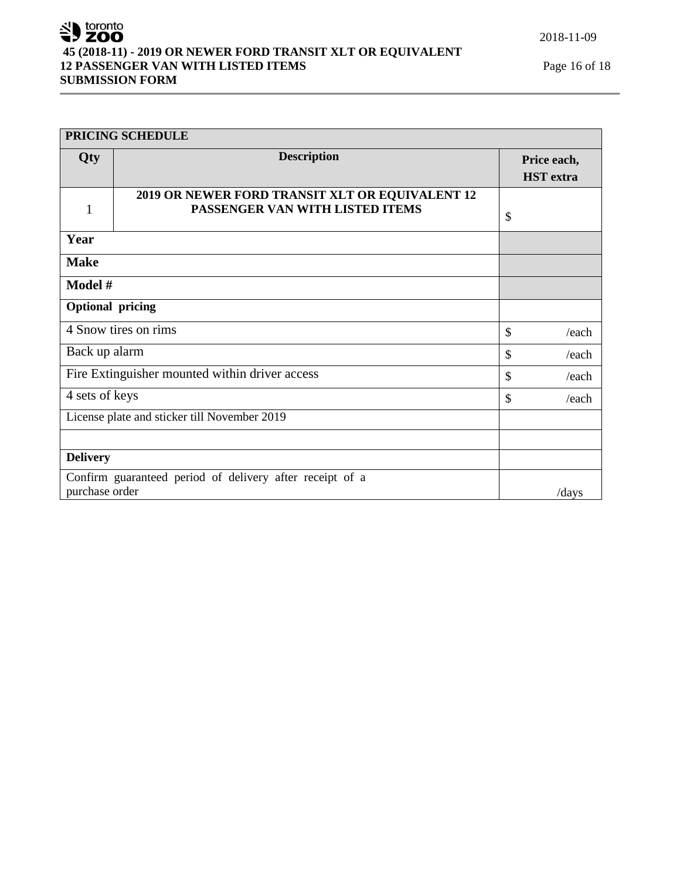# SU toronto **45 (2018-11) - 2019 OR NEWER FORD TRANSIT XLT OR EQUIVALENT 12 PASSENGER VAN WITH LISTED ITEMS** Page 16 of 18 **SUBMISSION FORM**

| PRICING SCHEDULE                               |                                                                                    |               |                                 |
|------------------------------------------------|------------------------------------------------------------------------------------|---------------|---------------------------------|
| Qty                                            | <b>Description</b>                                                                 |               | Price each,<br><b>HST</b> extra |
| 1                                              | 2019 OR NEWER FORD TRANSIT XLT OR EQUIVALENT 12<br>PASSENGER VAN WITH LISTED ITEMS | \$            |                                 |
| Year                                           |                                                                                    |               |                                 |
| <b>Make</b>                                    |                                                                                    |               |                                 |
| Model #                                        |                                                                                    |               |                                 |
| <b>Optional pricing</b>                        |                                                                                    |               |                                 |
| 4 Snow tires on rims                           |                                                                                    | \$            | /each                           |
| Back up alarm<br>\$                            |                                                                                    | /each         |                                 |
| Fire Extinguisher mounted within driver access |                                                                                    | \$            | /each                           |
| 4 sets of keys                                 |                                                                                    | $\mathcal{S}$ | /each                           |
| License plate and sticker till November 2019   |                                                                                    |               |                                 |
|                                                |                                                                                    |               |                                 |
| <b>Delivery</b>                                |                                                                                    |               |                                 |
| purchase order                                 | Confirm guaranteed period of delivery after receipt of a                           |               | /days                           |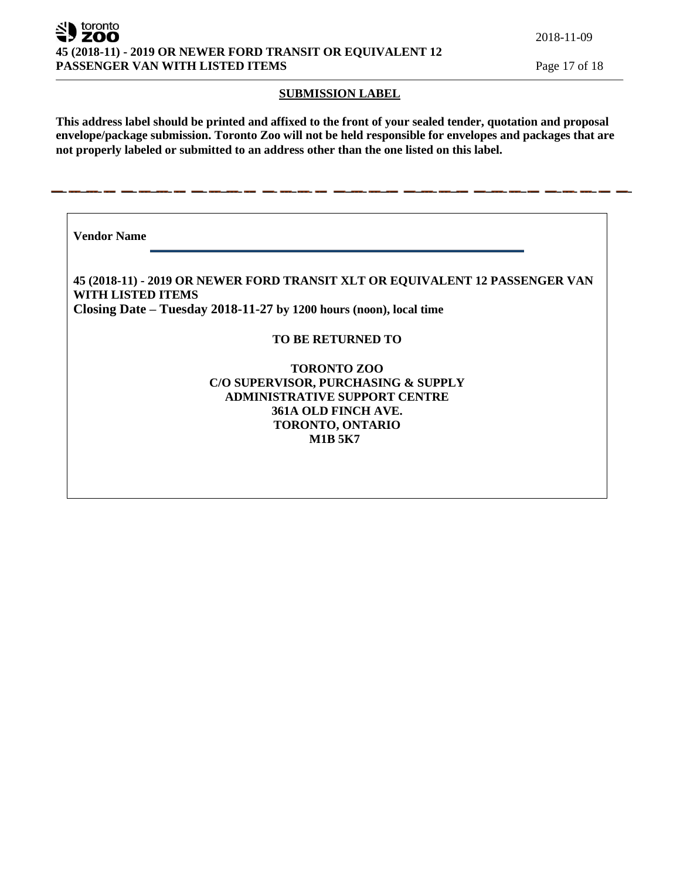toronto ZOO **45 (2018-11) - 2019 OR NEWER FORD TRANSIT OR EQUIVALENT 12 PASSENGER VAN WITH LISTED ITEMS** Page 17 of 18

#### **SUBMISSION LABEL**

**This address label should be printed and affixed to the front of your sealed tender, quotation and proposal envelope/package submission. Toronto Zoo will not be held responsible for envelopes and packages that are not properly labeled or submitted to an address other than the one listed on this label.**

**Vendor Name** 

**45 (2018-11) - 2019 OR NEWER FORD TRANSIT XLT OR EQUIVALENT 12 PASSENGER VAN WITH LISTED ITEMS Closing Date – Tuesday 2018-11-27 by 1200 hours (noon), local time**

### **TO BE RETURNED TO**

### **TORONTO ZOO C/O SUPERVISOR, PURCHASING & SUPPLY ADMINISTRATIVE SUPPORT CENTRE 361A OLD FINCH AVE. TORONTO, ONTARIO M1B 5K7**

2018-11-09